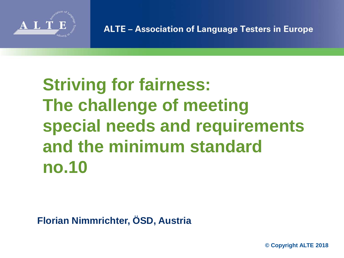

**ALTE - Association of Language Testers in Europe** 

# **Striving for fairness: The challenge of meeting special needs and requirements and the minimum standard no.10**

**Florian Nimmrichter, ÖSD, Austria**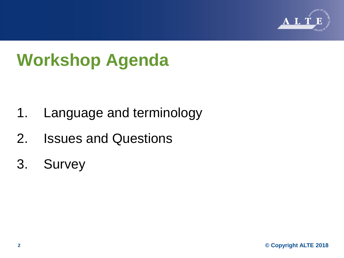

# **Workshop Agenda**

- 1. Language and terminology
- 2. Issues and Questions
- 3. Survey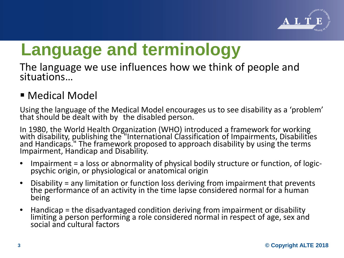

The language we use influences how we think of people and situations…

### ■ Medical Model

Using the language of the Medical Model encourages us to see disability as a 'problem' that should be dealt with by the disabled person.

In 1980, the World Health Organization (WHO) introduced a framework for working<br>with disability, publishing the "International Classification of Impairments, Disabilities and Handicaps." The framework proposed to approach disability by using the terms Impairment, Handicap and Disability.

- Impairment = a loss or abnormality of physical bodily structure or function, of logic-<br>psychic origin, or physiological or anatomical origin
- Disability = any limitation or function loss deriving from impairment that prevents the performance of an activity in the time lapse considered normal for a human being
- Handicap = the disadvantaged condition deriving from impairment or disability<br>limiting a person performing a role considered normal in respect of age, sex and social and cultural factors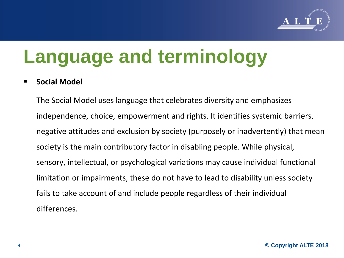

#### **Social Model**

The Social Model uses language that celebrates diversity and emphasizes independence, choice, empowerment and rights. It identifies systemic barriers, negative attitudes and exclusion by society (purposely or inadvertently) that mean society is the main contributory factor in disabling people. While physical, sensory, intellectual, or psychological variations may cause individual functional limitation or impairments, these do not have to lead to disability unless society fails to take account of and include people regardless of their individual differences.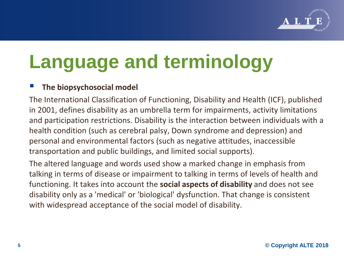

#### **The biopsychosocial model**

The International Classification of Functioning, Disability and Health (ICF), published in 2001, defines disability as an umbrella term for impairments, activity limitations and participation restrictions. Disability is the interaction between individuals with a health condition (such as cerebral palsy, Down syndrome and depression) and personal and environmental factors (such as negative attitudes, inaccessible transportation and public buildings, and limited social supports).

The altered language and words used show a marked change in emphasis from talking in terms of disease or impairment to talking in terms of levels of health and functioning. It takes into account the **social aspects of disability** and does not see disability only as a 'medical' or 'biological' dysfunction. That change is consistent with widespread acceptance of the social model of disability.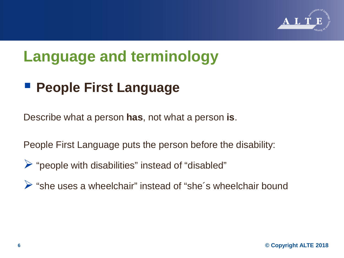

### **People First Language**

Describe what a person **has**, not what a person **is**.

People First Language puts the person before the disability:

- $\triangleright$  "people with disabilities" instead of "disabled"
- "she uses a wheelchair" instead of "she´s wheelchair bound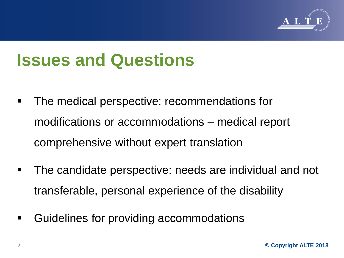

# **Issues and Questions**

- The medical perspective: recommendations for modifications or accommodations – medical report comprehensive without expert translation
- The candidate perspective: needs are individual and not transferable, personal experience of the disability
- Guidelines for providing accommodations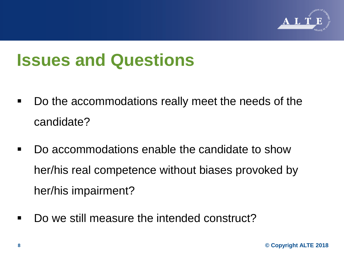

## **Issues and Questions**

- Do the accommodations really meet the needs of the candidate?
- Do accommodations enable the candidate to show her/his real competence without biases provoked by her/his impairment?
- Do we still measure the intended construct?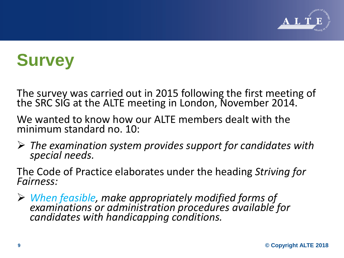

The survey was carried out in 2015 following the first meeting of the SRC SIG at the ALTE meeting in London, November 2014.

We wanted to know how our ALTE members dealt with the minimum standard no. 10:

*The examination system provides support for candidates with special needs.*

The Code of Practice elaborates under the heading *Striving for Fairness:* 

 *When feasible, make appropriately modified forms of examinations or administration procedures available for candidates with handicapping conditions.*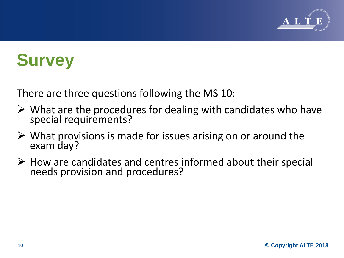

There are three questions following the MS 10:

- $\triangleright$  What are the procedures for dealing with candidates who have special requirements?
- $\triangleright$  What provisions is made for issues arising on or around the exam day?
- $\triangleright$  How are candidates and centres informed about their special needs provision and procedures?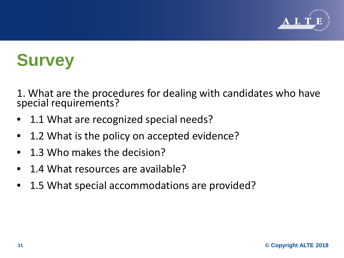

1. What are the procedures for dealing with candidates who have special requirements?

- 1.1 What are recognized special needs?
- 1.2 What is the policy on accepted evidence?
- 1.3 Who makes the decision?
- 1.4 What resources are available?
- 1.5 What special accommodations are provided?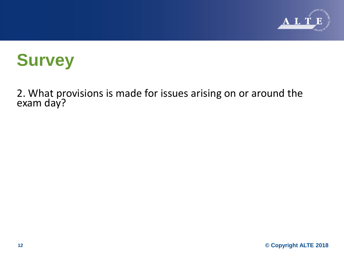

2. What provisions is made for issues arising on or around the exam day?